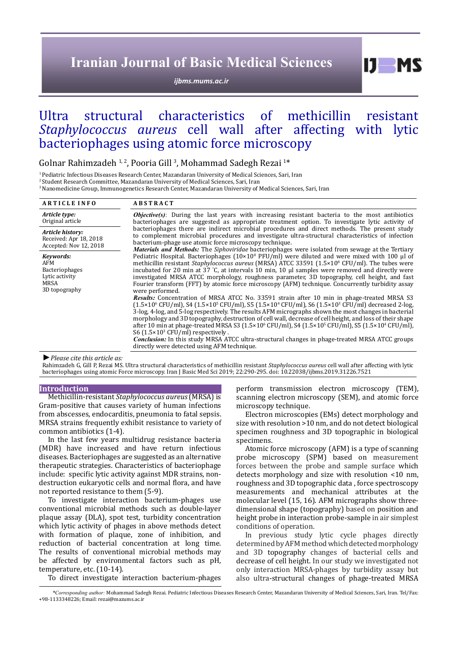# **Iranian Journal of Basic Medical Sciences**

*[ijbms.mums.ac.ir](http://ijbms.mums.ac.ir)*

 $I$   $I$   $M$   $S$ 

# Ultra structural characteristics of methicillin resistant *Staphylococcus aureus* cell wall after affecting with lytic bacteriophages using atomic force microscopy

# Golnar Rahimzadeh  $^{1,2}$ , Pooria Gill <sup>3</sup>, Mohammad Sadegh Rezai  $^{1*}$

1 Pediatric Infectious Diseases Research Center, Mazandaran University of Medical Sciences, Sari, Iran

<sup>2</sup> Student Research Committee, Mazandaran University of Medical Sciences, Sari, Iran

3 Nanomedicine Group, Immunogenetics Research Center, Mazandaran University of Medical Sciences, Sari, Iran

| <b>ARTICLE INFO</b>                                                           | <b>ABSTRACT</b>                                                                                                                                                                                                                                                                                                                                                                                                                                                                                                                                                                                                                                                                                               |
|-------------------------------------------------------------------------------|---------------------------------------------------------------------------------------------------------------------------------------------------------------------------------------------------------------------------------------------------------------------------------------------------------------------------------------------------------------------------------------------------------------------------------------------------------------------------------------------------------------------------------------------------------------------------------------------------------------------------------------------------------------------------------------------------------------|
| Article type:<br>Original article                                             | <b>Objective(s)</b> : During the last years with increasing resistant bacteria to the most antibiotics<br>bacteriophages are suggested as appropriate treatment option. To investigate lytic activity of                                                                                                                                                                                                                                                                                                                                                                                                                                                                                                      |
| Article history:<br>Received: Apr 18, 2018<br>Accepted: Nov 12, 2018          | bacteriophages there are indirect microbial procedures and direct methods. The present study<br>to complement microbial procedures and investigate ultra-structural characteristics of infection<br>bacterium-phage use atomic force microscopy technique.<br>Materials and Methods: The Siphoviridae bacteriophages were isolated from sewage at the Tertiary                                                                                                                                                                                                                                                                                                                                                |
| Keywords:<br>AFM<br>Bacteriophages<br>Lytic activity<br>MRSA<br>3D topography | Pediatric Hospital. Bacteriophages ( $10 \times 10^8$ PFU/ml) were diluted and were mixed with 100 µl of<br>methicillin resistant <i>Staphylococcus aureus</i> (MRSA) ATCC 33591 (1.5×10 <sup>8</sup> CFU/ml). The tubes were<br>incubated for 20 min at $37$ °C, at intervals 10 min, 10 $\mu$ samples were removed and directly were<br>investigated MRSA ATCC morphology, roughness parameter, 3D topography, cell height, and fast<br>Fourier transform (FFT) by atomic force microscopy (AFM) technique. Concurrently turbidity assay<br>were performed.                                                                                                                                                 |
|                                                                               | <b>Results:</b> Concentration of MRSA ATCC No. 33591 strain after 10 min in phage-treated MRSA S3<br>$(1.5 \times 10^{6} \text{ CFU/ml})$ , S4 $(1.5 \times 10^{5} \text{ CFU/ml})$ , S5 $(1.5 \times 10^{4} \text{ CFU/ml})$ , S6 $(1.5 \times 10^{3} \text{ CFU/ml})$ decreased 2-log,<br>3-log, 4-log, and 5-log respectively. The results AFM micrographs shown the most changes in bacterial<br>morphology and 3D topography, destruction of cell wall, decrease of cell height, and loss of their shape<br>after 10 min at phage-treated MRSA S3 (1.5×10 <sup>6</sup> CFU/ml), S4 (1.5×10 <sup>5</sup> CFU/ml), S5 (1.5×10 <sup>4</sup> CFU/ml),<br>S6 $(1.5 \times 10^3 \text{ CFU/ml})$ respectively. |
|                                                                               | Conclusion: In this study MRSA ATCC ultra-structural changes in phage-treated MRSA ATCC groups<br>directly were detected using AFM technique.                                                                                                                                                                                                                                                                                                                                                                                                                                                                                                                                                                 |

#### *►Please cite this article as:*

Rahimzadeh G, Gill P, Rezai MS. Ultra structural characteristics of methicillin resistant *Staphylococcus aureus* cell wall after affecting with lytic bacteriophages using atomic Force microscopy. Iran J Basic Med Sci 2019; 22:290-295. doi: 10.22038/ijbms.2019.31226.7521

## **Introduction**

Methicillin-resistant *Staphylococcus aureus* (MRSA) is Gram-positive that causes variety of human infections from abscesses, endocarditis, pneumonia to fatal sepsis. MRSA strains frequently exhibit resistance to variety of common antibiotics (1-4).

In the last few years multidrug resistance bacteria (MDR) have increased and have return infectious diseases. Bacteriophages are suggested as an alternative therapeutic strategies. Characteristics of bacteriophage include: specific lytic activity against MDR strains, nondestruction eukaryotic cells and normal flora, and have not reported resistance to them (5-9).

To investigate interaction bacterium-phages use conventional microbial methods such as double-layer plaque assay (DLA), spot test, turbidity concentration which lytic activity of phages in above methods detect with formation of plaque, zone of inhibition, and reduction of bacterial concentration at long time. The results of conventional microbial methods may be affected by environmental factors such as pH, temperature, etc. (10-14).

To direct investigate interaction bacterium-phages

perform transmission electron microscopy (TEM), scanning electron microscopy (SEM), and atomic force microscopy technique.

Electron microscopies (EMs) detect morphology and size with resolution >10 nm, and do not detect biological specimen roughness and 3D topographic in biological specimens.

Atomic force microscopy (AFM) is a type of [scanning](https://en.wikipedia.org/wiki/Scanning_probe_microscopy) [probe microscopy](https://en.wikipedia.org/wiki/Scanning_probe_microscopy) (SPM) based on measurement forces between the probe and sample surface which detects morphology and size with resolution <10 nm, roughness and 3D topographic data , force spectroscopy measurements and mechanical attributes at the molecular level (15, 16). AFM micrographs show threedimensional shape (topography) based on position and height probe in interaction probe-sample in air simplest conditions of operation.

In previous study lytic cycle phages directly determined by AFM method which detected morphology and 3D topography changes of bacterial cells and decrease of cell height. In our study we investigated not only interaction MRSA-phages by turbidity assay but also ultra-structural changes of phage-treated MRSA

*\*Corresponding author:* Mohammad Sadegh Rezai. Pediatric Infectious Diseases Research Center, Mazandaran University of Medical Sciences, Sari, Iran. Tel/Fax: +98-1133348226; Email: rezai@mazums.ac.ir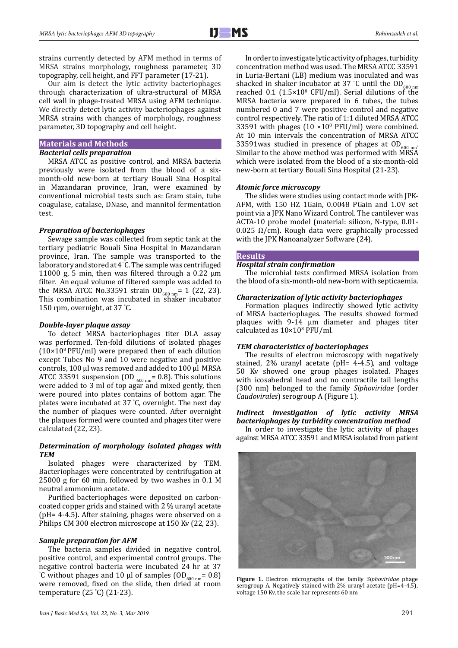strains currently detected by AFM method in terms of MRSA strains morphology, roughness parameter, 3D topography, cell height, and FFT parameter (17-21).

Our aim is detect the lytic activity bacteriophages through characterization of ultra-structural of MRSA cell wall in phage-treated MRSA using AFM technique. We directly detect lytic activity bacteriophages against MRSA strains with changes of morphology, roughness parameter, 3D topography and cell height.

## **Materials and Methods** *Bacterial cells preparation*

MRSA ATCC as positive control, and MRSA bacteria previously were isolated from the blood of a sixmonth-old new-born at tertiary Bouali Sina Hospital in Mazandaran province, Iran, were examined by conventional microbial tests such as: Gram stain, tube coagulase, catalase, DNase, and mannitol fermentation test.

#### *Preparation of bacteriophages*

Sewage sample was collected from septic tank at the tertiary pediatric Bouali Sina Hospital in Mazandaran province, Iran. The sample was transported to the laboratory and stored at 4 ° C. The sample was centrifuged 11000 g, 5 min, then was filtered through a 0.22  $\mu$ m filter. An equal volume of filtered sample was added to the MRSA ATCC No.33591 strain  $OD_{600 \text{ nm}} = 1$  (22, 23). This combination was incubated in shaker incubator 150 rpm, overnight, at 37 ° C.

#### *Double-layer plaque assay*

To detect MRSA bacteriophages titer DLA assay was performed. Ten-fold dilutions of isolated phages  $(10\times10^{8} PFU/ml)$  were prepared then of each dilution except Tubes No 9 and 10 were negative and positive controls, 100 µl was removed and added to 100 µl MRSA ATCC 33591 suspension (OD  $_{600 \text{ nm}}$  = 0.8). This solutions were added to 3 ml of top agar and mixed gently, then were poured into plates contains of bottom agar. The plates were incubated at 37 ° C, overnight. The next day the number of plaques were counted. After overnight the plaques formed were counted and phages titer were calculated (22, 23).

## *Determination of morphology isolated phages with TEM*

Isolated phages were characterized by TEM. Bacteriophages were concentrated by centrifugation at 25000 g for 60 min, followed by two washes in 0.1 M neutral ammonium acetate.

Purified bacteriophages were deposited on carboncoated copper grids and stained with 2 % uranyl acetate (pH= 4-4.5). After staining, phages were observed on a Philips CM 300 electron microscope at 150 Kv (22, 23).

#### *Sample preparation for AFM*

The bacteria samples divided in negative control, positive control, and experimental control groups. The negative control bacteria were incubated 24 hr at 37 <sup>°</sup>C without phages and 10 μl of samples  $OD_{600 \text{ nm}} = 0.8$ ) were removed, fixed on the slide, then dried at room temperature (25 ° C) (21-23).

In order to investigate lytic activity of phages, turbidity concentration method was used. The MRSA ATCC 33591 in Luria-Bertani (LB) medium was inoculated and was shacked in shaker incubator at 37 °C until the  $OD_{600 \text{ nm}}$ reached  $0.1$   $(1.5 \times 10^{8} \text{ CFU/ml})$ . Serial dilutions of the MRSA bacteria were prepared in 6 tubes, the tubes numbered 0 and 7 were positive control and negative control respectively. The ratio of 1:1 diluted MRSA ATCC 33591 with phages  $(10 \times 10^8 \text{ PFU/ml})$  were combined. At 10 min intervals the concentration of MRSA ATCC 33591 was studied in presence of phages at  $OD<sub>a</sub>$ Similar to the above method was performed with MRSA which were isolated from the blood of a six-month-old new-born at tertiary Bouali Sina Hospital (21-23).

#### *Atomic force microscopy*

The slides were studies using contact mode with JPK-AFM, with 150 HZ 1Gain, 0.0048 PGain and 1.0V set point via a JPK Nano Wizard Control. The cantilever was ACTA-10 probe model (material: silicon, N-type, 0.01- 0.025 Ω/cm). Rough data were graphically processed with the JPK Nanoanalyzer Software (24).

#### **Results**

#### *Hospital strain confirmation*

The microbial tests confirmed MRSA isolation from the blood of a six-month-old new-born with septicaemia.

#### *Characterization of lytic activity bacteriophages*

Formation plaques indirectly showed lytic activity of MRSA bacteriophages. The results showed formed plaques with 9-14 μm diameter and phages titer calculated as  $10\times10^8$  PFU/ml.

#### *TEM characteristics of bacteriophages*

The results of electron microscopy with negatively stained, 2% uranyl acetate (pH= 4-4.5), and voltage 50 Kv showed one group phages isolated. Phages with icosahedral head and no contractile tail lengths (300 nm) belonged to the family *Siphoviridae* (order *Caudovirales*) serogroup A (Figure 1).

#### *Indirect investigation of lytic activity MRSA bacteriophages by turbidity concentration method*

In order to investigate the lytic activity of phages against MRSA ATCC 33591 and MRSA isolated from patient



serogroup A. Negatively stained with 2% uranyl acetate (pH=4-4.5), voltage 150 Kv, the scale bar represents 60 nm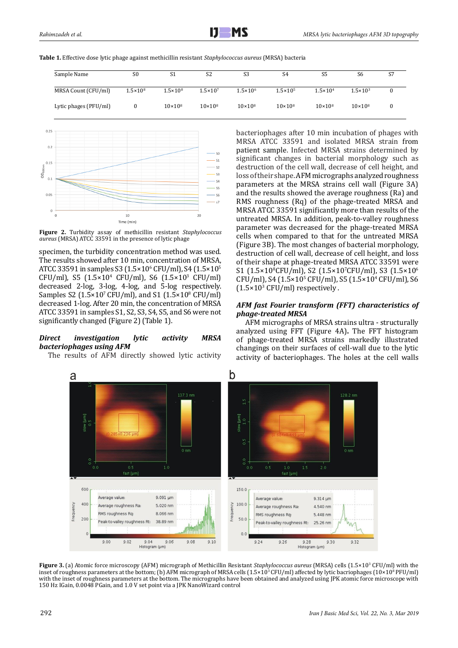| Table 1. Effective dose lytic phage against methicillin resistant Staphylococcus aureus (MRSA) bacteria |
|---------------------------------------------------------------------------------------------------------|
|---------------------------------------------------------------------------------------------------------|

| Sample Name           | S <sub>0</sub>    | S1                 | S <sub>2</sub>      | S <sub>3</sub>      | S4                  | S <sub>5</sub>      | S6                  | S7 |
|-----------------------|-------------------|--------------------|---------------------|---------------------|---------------------|---------------------|---------------------|----|
| MRSA Count (CFU/ml)   | $1.5 \times 10^8$ | $1.5 \times 10^8$  | $1.5 \times 10^{7}$ | $1.5 \times 10^{6}$ | $1.5 \times 10^{5}$ | $1.5 \times 10^{4}$ | $1.5 \times 10^{3}$ |    |
| Lytic phages (PFU/ml) | 0                 | $10 \times 10^{8}$ | $10 \times 10^{8}$  | $10 \times 10^{8}$  | $10 \times 10^{8}$  | $10 \times 10^{8}$  | $10 \times 10^{8}$  |    |



**Figure 2.** Turbidity assay of methicillin resistant *Staphylococcus aureus* (MRSA) ATCC 33591 in the presence of lytic phage

specimen, the turbidity concentration method was used. The results showed after 10 min, concentration of MRSA, ATCC 33591 in samples S3 (1.5×10<sup>6</sup> CFU/ml), S4 (1.5×10<sup>5</sup>  $CFU/ml$ , S5  $(1.5 \times 10^4 \text{ CFU/ml})$ , S6  $(1.5 \times 10^3 \text{ CFU/ml})$ decreased 2-log, 3-log, 4-log, and 5-log respectively. Samples S2  $(1.5 \times 10^{7} \text{ CFU/ml})$ , and S1  $(1.5 \times 10^{8} \text{ CFU/ml})$ decreased 1-log. After 20 min, the concentration of MRSA ATCC 33591 in samples S1, S2, S3, S4, S5, and S6 were not significantly changed (Figure 2) (Table 1).

# *Direct investigation lytic activity MRSA bacteriophages using AFM*

The results of AFM directly showed lytic activity

bacteriophages after 10 min incubation of phages with MRSA ATCC 33591 and isolated MRSA strain from patient sample. Infected MRSA strains determined by significant changes in bacterial morphology such as destruction of the cell wall, decrease of cell height, and loss of their shape. AFM micrographs analyzed roughness parameters at the MRSA strains cell wall (Figure 3A) and the results showed the average roughness (Ra) and RMS roughness (Rq) of the phage-treated MRSA and MRSA ATCC 33591 significantly more than results of the untreated MRSA. In addition, peak-to-valley roughness parameter was decreased for the phage-treated MRSA cells when compared to that for the untreated MRSA (Figure 3B). The most changes of bacterial morphology, destruction of cell wall, decrease of cell height, and loss of their shape at phage-treated MRSA ATCC 33591 were S1 (1.5×10°CFU/ml), S2 (1.5×10′CFU/ml), S3 (1.5×10°  $CFU/ml$ ), S4 (1.5×10<sup>5</sup> CFU/ml), S5 (1.5×10<sup>4</sup> CFU/ml), S6  $(1.5\times10^{3}$  CFU/ml) respectively.

# *AFM fast Fourier transform (FFT) characteristics of phage-treated MRSA*

AFM micrographs of MRSA strains ultra - structurally analyzed using FFT (Figure 4A)**.** The FFT histogram of phage-treated MRSA strains markedly illustrated changings on their surfaces of cell-wall due to the lytic activity of bacteriophages. The holes at the cell walls



**Figure 3.** (a) Atomic force microscopy (AFM) micrograph of Methicillin Resistant *Staphylococcus aureus* (MRSA) cells (1.5×103 CFU/ml) with the inset of roughness parameters at the bottom; (b) AFM micrograph of MRSA cells (1.5×10<sup>3</sup> CFU/ml) affected by lytic bacriophages (10×10<sup>8</sup> PFU/ml) with the inset of roughness parameters at the bottom. The micrographs have been obtained and analyzed using JPK atomic force microscope with 150 Hz IGain, 0.0048 PGain, and 1.0 V set point via a JPK NanoWizard control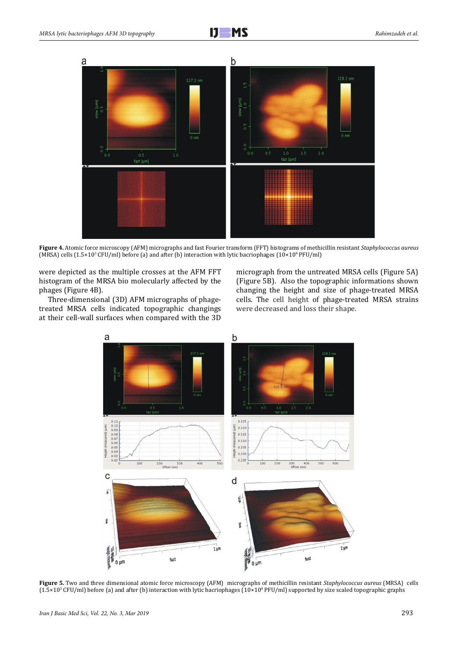

**Figure 4.** Atomic force microscopy (AFM) micrographs and fast Fourier transform (FFT) histograms of methicillin resistant *Staphylococcus aureus* (MRSA) cells (1.5×10<sup>3</sup> CFU/ml) before (a) and after (b) interaction with lytic bacriophages (10×10<sup>8</sup> PFU/ml)

were depicted as the multiple crosses at the AFM FFT histogram of the MRSA bio molecularly affected by the phages (Figure 4B).

Three-dimensional (3D) AFM micrographs of phagetreated MRSA cells indicated topographic changings at their cell-wall surfaces when compared with the 3D micrograph from the untreated MRSA cells (Figure 5A) (Figure 5B). Also the topographic informations shown changing the height and size of phage-treated MRSA cells. The cell height of phage-treated MRSA strains were decreased and loss their shape.



**Figure 5.** Two and three dimensional atomic force microscopy (AFM) micrographs of methicillin resistant *Staphylococcus aureus* (MRSA) cells  $(1.5\times10^3\,$  CFU/ml) before (a) and after (b) interaction with lytic bacriophages  $(10\times10^8\,$  PFU/ml) supported by size scaled topographic graphs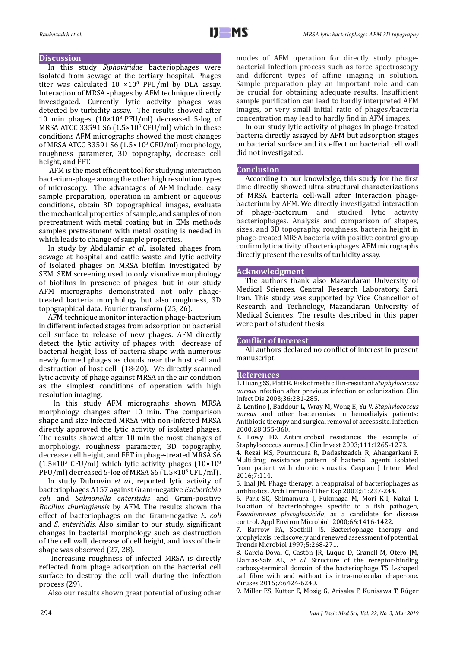#### **Discussion**

In this study *Siphoviridae* bacteriophages were isolated from sewage at the tertiary hospital. Phages titer was calculated  $10 \times 10^8$  PFU/ml by DLA assay. Interaction of MRSA -phages by AFM technique directly investigated. Currently lytic activity phages was detected by turbidity assay. The results showed after 10 min phages (10×108 PFU/ml) decreased 5-log of MRSA ATCC 33591 S6  $(1.5 \times 10^{3} \text{ CFU/ml})$  which in these conditions AFM micrographs showed the most changes of MRSA ATCC 33591 S6 (1.5×103 CFU/ml) morphology, roughness parameter, 3D topography, decrease cell height, and FFT.

 AFM is the most efficient tool for studying interaction bacterium-phage among the other high resolution types of microscopy. The advantages of AFM include: easy sample preparation, operation in ambient or aqueous conditions, obtain 3D topographical images, evaluate the mechanical properties of sample, and samples of non pretreatment with metal coating but in EMs methods samples pretreatment with metal coating is needed in which leads to change of sample properties.

In study by Abdulamir *et al.*, isolated phages from sewage at hospital and cattle waste and lytic activity of isolated phages on MRSA biofilm investigated by SEM. SEM screening used to only visualize morphology of biofilms in presence of phages. but in our study AFM micrographs demonstrated not only phagetreated bacteria morphology but also roughness, 3D topographical data, Fourier transform (25, 26).

AFM technique monitor interaction phage-bacterium in different infected stages from adsorption on bacterial cell surface to release of new phages. AFM directly detect the lytic activity of phages with decrease of bacterial height, loss of bacteria shape with numerous newly formed phages as clouds near the host cell and destruction of host cell (18-20). We directly scanned lytic activity of phage against MRSA in the air condition as the simplest conditions of operation with high resolution imaging.

 In this study AFM micrographs shown MRSA morphology changes after 10 min. The comparison shape and size infected MRSA with non-infected MRSA directly approved the lytic activity of isolated phages. The results showed after 10 min the most changes of morphology, roughness parameter, 3D topography, decrease cell height, and FFT in phage-treated MRSA S6  $(1.5 \times 10^{3} \text{ CFU/ml})$  which lytic activity phages  $(10 \times 10^{8} \text{ m})$  $PFU/ml$ ) decreased 5-log of MRSA S6  $(1.5\times10^{3}\,\mathrm{CFU/ml})$  .

In study Dubrovin *et al.*, reported lytic activity of bacteriophages A157 against Gram-negative *Escherichia coli* and *Salmonella enteritidis* and Gram-positive *Bacillus thuringiensis* by AFM. The results shown the effect of bacteriophages on the Gram-negative *E. coli* and *S. enteritidis*. Also similar to our study, significant changes in bacterial morphology such as destruction of the cell wall, decrease of cell height, and loss of their shape was observed (27, 28).

 Increasing roughness of infected MRSA is directly reflected from phage adsorption on the bacterial cell surface to destroy the cell wall during the infection process (29).

Also our results shown great potential of using other

modes of AFM operation for directly study phagebacterial infection process such as force spectroscopy and different types of affine imaging in solution. Sample preparation play an important role and can be crucial for obtaining adequate results. Insufficient sample purification can lead to hardly interpreted AFM images, or very small initial ratio of phages/bacteria concentration may lead to hardly find in AFM images.

In our study lytic activity of phages in phage-treated bacteria directly assayed by AFM but adsorption stages on bacterial surface and its effect on bacterial cell wall did not investigated.

#### **Conclusion**

According to our knowledge, this study for the first time directly showed ultra-structural characterizations of MRSA bacteria cell-wall after interaction phagebacterium by AFM. We directly investigated interaction<br>of phage-bacterium and studied lytic activity phage-bacterium and studied lytic activity bacteriophages. Analysis and comparison of shapes, sizes, and 3D topography, roughness, bacteria height in phage-treated MRSA bacteria with positive control group confirm lytic activity of bacteriophages. AFM micrographs directly present the results of turbidity assay.

#### **Acknowledgment**

The authors thank also Mazandaran University of Medical Sciences, Central Research Laboratory, Sari, Iran. This study was supported by Vice Chancellor of Research and Technology, Mazandaran University of Medical Sciences. The results described in this paper were part of student thesis.

#### **Conflict of Interest**

All authors declared no conflict of interest in present manuscript.

#### **References**

1. Huang SS, Platt R. Risk of methicillin-resistant *Staphylococcus aureus* infection after previous infection or colonization. Clin Infect Dis 2003;36:281-285.

2. Lentino J, Baddour L, Wray M, Wong E, Yu V. *Staphylococcus aureus* and other bacteremias in hemodialyis patients: Antibiotic therapy and surgical removal of access site. Infection 2000;28:355-360.

3. Lowy FD. Antimicrobial resistance: the example of Staphylococcus aureus. J Clin Invest 2003;111:1265-1273.

4. Rezai MS, Pourmousa R, Dadashzadeh R, Ahangarkani F. Multidrug resistance pattern of bacterial agents isolated from patient with chronic sinusitis. Caspian J Intern Med 2016;7:114.

5. Inal JM. Phage therapy: a reappraisal of bacteriophages as antibiotics. Arch Immunol Ther Exp 2003;51:237-244.

6. Park SC, Shimamura I, Fukunaga M, Mori K-I, Nakai T. Isolation of bacteriophages specific to a fish pathogen, *Pseudomonas plecoglossicida*, as a candidate for disease control. Appl Environ Microbiol 2000;66:1416-1422.

7. Barrow PA, Soothill JS. Bacteriophage therapy and prophylaxis: rediscovery and renewed assessment of potential. Trends Microbiol 1997;5:268-271.

8. Garcia-Doval C, Castón JR, Luque D, Granell M, Otero JM, Llamas-Saiz AL, *et al*. Structure of the receptor-binding carboxy-terminal domain of the bacteriophage T5 L-shaped tail fibre with and without its intra-molecular chaperone. Viruses 2015;7:6424-6240.

9. [Miller ES,](https://www.ncbi.nlm.nih.gov/pubmed/?term=Miller%20ES%5BAuthor%5D&cauthor=true&cauthor_uid=12626685) [Kutter E](https://www.ncbi.nlm.nih.gov/pubmed/?term=Kutter%20E%5BAuthor%5D&cauthor=true&cauthor_uid=12626685), [Mosig G](https://www.ncbi.nlm.nih.gov/pubmed/?term=Mosig%20G%5BAuthor%5D&cauthor=true&cauthor_uid=12626685), [Arisaka F](https://www.ncbi.nlm.nih.gov/pubmed/?term=Arisaka%20F%5BAuthor%5D&cauthor=true&cauthor_uid=12626685), [Kunisawa T,](https://www.ncbi.nlm.nih.gov/pubmed/?term=Kunisawa%20T%5BAuthor%5D&cauthor=true&cauthor_uid=12626685) [Rüger](https://www.ncbi.nlm.nih.gov/pubmed/?term=R%C3%BCger%20W%5BAuthor%5D&cauthor=true&cauthor_uid=12626685)